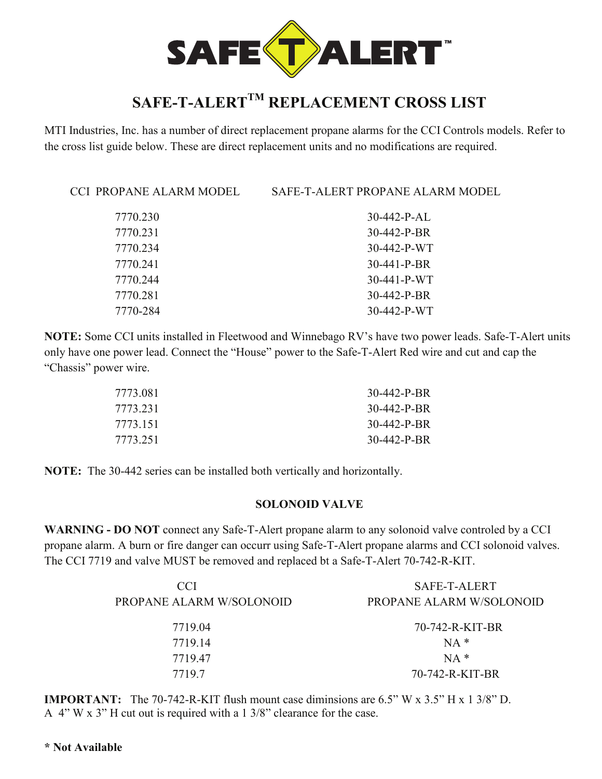

# **SAFE-T-ALERTTM REPLACEMENT CROSS LIST**

MTI Industries, Inc. has a number of direct replacement propane alarms for the CCI Controls models. Refer to the cross list guide below. These are direct replacement units and no modifications are required.

CCI PROPANE ALARM MODEL SAFE-T-ALERT PROPANE ALARM MODEL

| 7770.230 | $30-442-P-AL$       |
|----------|---------------------|
| 7770.231 | $30 - 442 - P - BR$ |
| 7770.234 | 30-442-P-WT         |
| 7770.241 | $30-441-P-BR$       |
| 7770.244 | $30-441-P-WT$       |
| 7770.281 | $30 - 442 - P - BR$ |
| 7770-284 | $30-442-P-WT$       |
|          |                     |

**NOTE:** Some CCI units installed in Fleetwood and Winnebago RV's have two power leads. Safe-T-Alert units only have one power lead. Connect the "House" power to the Safe-T-Alert Red wire and cut and cap the "Chassis" power wire.

| 7773.081 | 30-442-P-BR |
|----------|-------------|
| 7773.231 | 30-442-P-BR |
| 7773.151 | 30-442-P-BR |
| 7773.251 | 30-442-P-BR |

**NOTE:** The 30-442 series can be installed both vertically and horizontally.

#### **SOLONOID VALVE**

**WARNING - DO NOT** connect any Safe-T-Alert propane alarm to any solonoid valve controled by a CCI propane alarm. A burn or fire danger can occurr using Safe-T-Alert propane alarms and CCI solonoid valves. The CCI 7719 and valve MUST be removed and replaced bt a Safe-T-Alert 70-742-R-KIT.

| CCI.<br>PROPANE ALARM W/SOLONOID | SAFE-T-ALERT<br>PROPANE ALARM W/SOLONOID |
|----------------------------------|------------------------------------------|
| 7719.04                          | 70-742-R-KIT-BR                          |
| 7719.14                          | $NA*$                                    |
| 7719.47                          | $NA *$                                   |
| 7719.7                           | 70-742-R-KIT-BR                          |

**IMPORTANT:** The 70-742-R-KIT flush mount case diminsions are 6.5" W x 3.5" H x 1 3/8" D. A  $4$ " W x  $3$ " H cut out is required with a 1  $3/8$ " clearance for the case.

#### **\* Not Available**